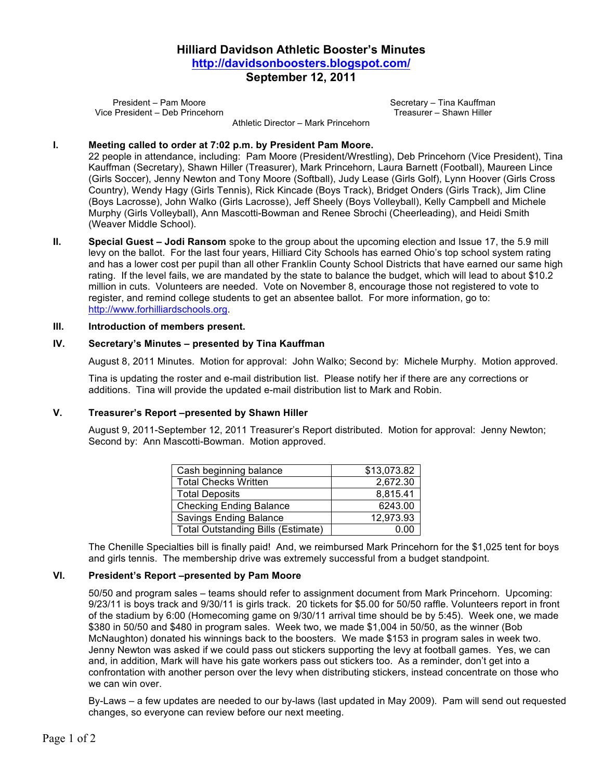# **Hilliard Davidson Athletic Booster's Minutes http://davidsonboosters.blogspot.com/ September 12, 2011**

President – Pam Moore Vice President – Deb Princehorn Secretary – Tina Kauffman Treasurer – Shawn Hiller

Athletic Director – Mark Princehorn

#### **I. Meeting called to order at 7:02 p.m. by President Pam Moore.**

22 people in attendance, including: Pam Moore (President/Wrestling), Deb Princehorn (Vice President), Tina Kauffman (Secretary), Shawn Hiller (Treasurer), Mark Princehorn, Laura Barnett (Football), Maureen Lince (Girls Soccer), Jenny Newton and Tony Moore (Softball), Judy Lease (Girls Golf), Lynn Hoover (Girls Cross Country), Wendy Hagy (Girls Tennis), Rick Kincade (Boys Track), Bridget Onders (Girls Track), Jim Cline (Boys Lacrosse), John Walko (Girls Lacrosse), Jeff Sheely (Boys Volleyball), Kelly Campbell and Michele Murphy (Girls Volleyball), Ann Mascotti-Bowman and Renee Sbrochi (Cheerleading), and Heidi Smith (Weaver Middle School).

**II. Special Guest – Jodi Ransom** spoke to the group about the upcoming election and Issue 17, the 5.9 mill levy on the ballot. For the last four years, Hilliard City Schools has earned Ohio's top school system rating and has a lower cost per pupil than all other Franklin County School Districts that have earned our same high rating. If the level fails, we are mandated by the state to balance the budget, which will lead to about \$10.2 million in cuts. Volunteers are needed. Vote on November 8, encourage those not registered to vote to register, and remind college students to get an absentee ballot. For more information, go to: http://www.forhilliardschools.org.

#### **III. Introduction of members present.**

#### **IV. Secretary's Minutes – presented by Tina Kauffman**

August 8, 2011 Minutes. Motion for approval: John Walko; Second by: Michele Murphy. Motion approved.

Tina is updating the roster and e-mail distribution list. Please notify her if there are any corrections or additions. Tina will provide the updated e-mail distribution list to Mark and Robin.

#### **V. Treasurer's Report –presented by Shawn Hiller**

August 9, 2011-September 12, 2011 Treasurer's Report distributed. Motion for approval: Jenny Newton; Second by: Ann Mascotti-Bowman. Motion approved.

| Cash beginning balance                    | \$13,073.82 |
|-------------------------------------------|-------------|
| <b>Total Checks Written</b>               | 2,672.30    |
| <b>Total Deposits</b>                     | 8,815.41    |
| <b>Checking Ending Balance</b>            | 6243.00     |
| <b>Savings Ending Balance</b>             | 12,973.93   |
| <b>Total Outstanding Bills (Estimate)</b> | 0.00        |

The Chenille Specialties bill is finally paid! And, we reimbursed Mark Princehorn for the \$1,025 tent for boys and girls tennis. The membership drive was extremely successful from a budget standpoint.

### **VI. President's Report –presented by Pam Moore**

50/50 and program sales – teams should refer to assignment document from Mark Princehorn. Upcoming: 9/23/11 is boys track and 9/30/11 is girls track. 20 tickets for \$5.00 for 50/50 raffle. Volunteers report in front of the stadium by 6:00 (Homecoming game on 9/30/11 arrival time should be by 5:45). Week one, we made \$380 in 50/50 and \$480 in program sales. Week two, we made \$1,004 in 50/50, as the winner (Bob McNaughton) donated his winnings back to the boosters. We made \$153 in program sales in week two. Jenny Newton was asked if we could pass out stickers supporting the levy at football games. Yes, we can and, in addition, Mark will have his gate workers pass out stickers too. As a reminder, don't get into a confrontation with another person over the levy when distributing stickers, instead concentrate on those who we can win over.

By-Laws – a few updates are needed to our by-laws (last updated in May 2009). Pam will send out requested changes, so everyone can review before our next meeting.